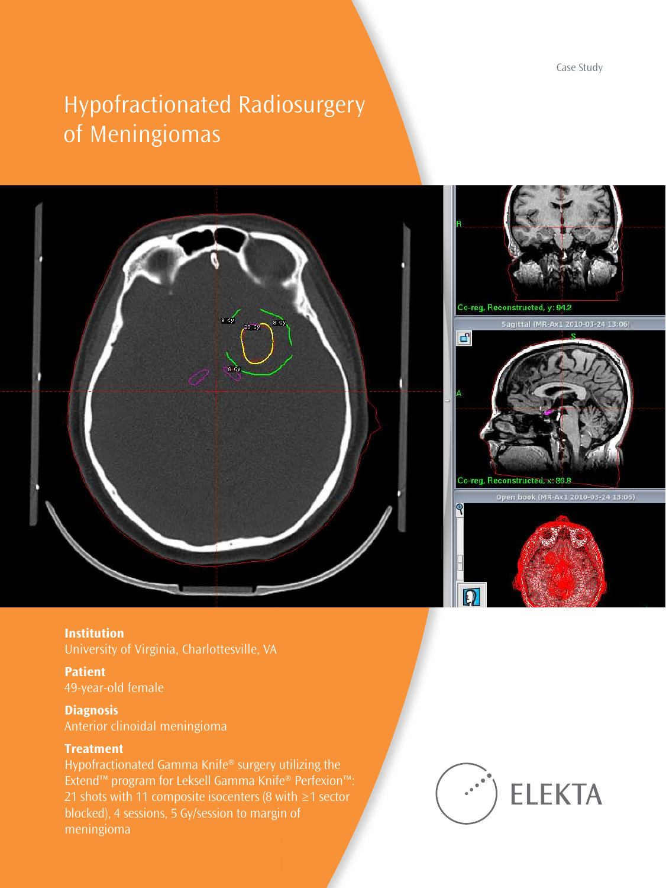Case Study

# Hypofractionated Radiosurgery of Meningiomas





**Institution**  University of Virginia, Charlottesville, VA

**Patient** 49-year-old female

**Diagnosis**  Anterior clinoidal meningioma

#### **Treatment**

Hypofractionated Gamma Knife® surgery utilizing the Extend™ program for Leksell Gamma Knife® Perfexion™: 21 shots with 11 composite isocenters (8 with ≥1 sector blocked), 4 sessions, 5 Gy/session to margin of meningioma

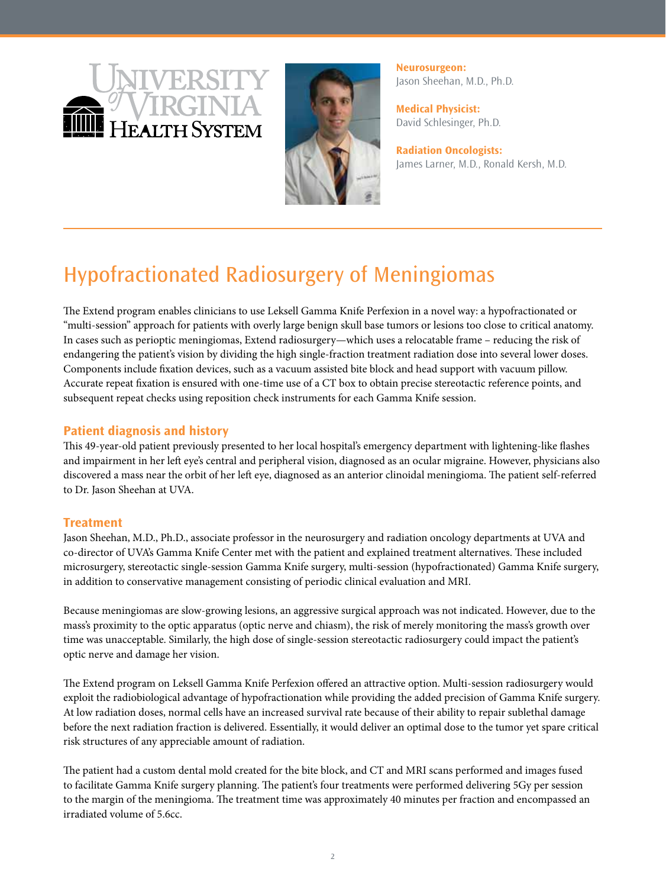



**Neurosurgeon:**  Jason Sheehan, M.D., Ph.D.

**Medical Physicist:** David Schlesinger, Ph.D.

**Radiation Oncologists:** James Larner, M.D., Ronald Kersh, M.D.

## Hypofractionated Radiosurgery of Meningiomas

The Extend program enables clinicians to use Leksell Gamma Knife Perfexion in a novel way: a hypofractionated or "multi-session" approach for patients with overly large benign skull base tumors or lesions too close to critical anatomy. In cases such as perioptic meningiomas, Extend radiosurgery—which uses a relocatable frame – reducing the risk of endangering the patient's vision by dividing the high single-fraction treatment radiation dose into several lower doses. Components include fixation devices, such as a vacuum assisted bite block and head support with vacuum pillow. Accurate repeat fixation is ensured with one-time use of a CT box to obtain precise stereotactic reference points, and subsequent repeat checks using reposition check instruments for each Gamma Knife session.

### **Patient diagnosis and history**

This 49-year-old patient previously presented to her local hospital's emergency department with lightening-like flashes and impairment in her left eye's central and peripheral vision, diagnosed as an ocular migraine. However, physicians also discovered a mass near the orbit of her left eye, diagnosed as an anterior clinoidal meningioma. The patient self-referred to Dr. Jason Sheehan at UVA.

#### **Treatment**

Jason Sheehan, M.D., Ph.D., associate professor in the neurosurgery and radiation oncology departments at UVA and co-director of UVA's Gamma Knife Center met with the patient and explained treatment alternatives. These included microsurgery, stereotactic single-session Gamma Knife surgery, multi-session (hypofractionated) Gamma Knife surgery, in addition to conservative management consisting of periodic clinical evaluation and MRI.

Because meningiomas are slow-growing lesions, an aggressive surgical approach was not indicated. However, due to the mass's proximity to the optic apparatus (optic nerve and chiasm), the risk of merely monitoring the mass's growth over time was unacceptable. Similarly, the high dose of single-session stereotactic radiosurgery could impact the patient's optic nerve and damage her vision.

The Extend program on Leksell Gamma Knife Perfexion offered an attractive option. Multi-session radiosurgery would exploit the radiobiological advantage of hypofractionation while providing the added precision of Gamma Knife surgery. At low radiation doses, normal cells have an increased survival rate because of their ability to repair sublethal damage before the next radiation fraction is delivered. Essentially, it would deliver an optimal dose to the tumor yet spare critical risk structures of any appreciable amount of radiation.

The patient had a custom dental mold created for the bite block, and CT and MRI scans performed and images fused to facilitate Gamma Knife surgery planning. The patient's four treatments were performed delivering 5Gy per session to the margin of the meningioma. The treatment time was approximately 40 minutes per fraction and encompassed an irradiated volume of 5.6cc.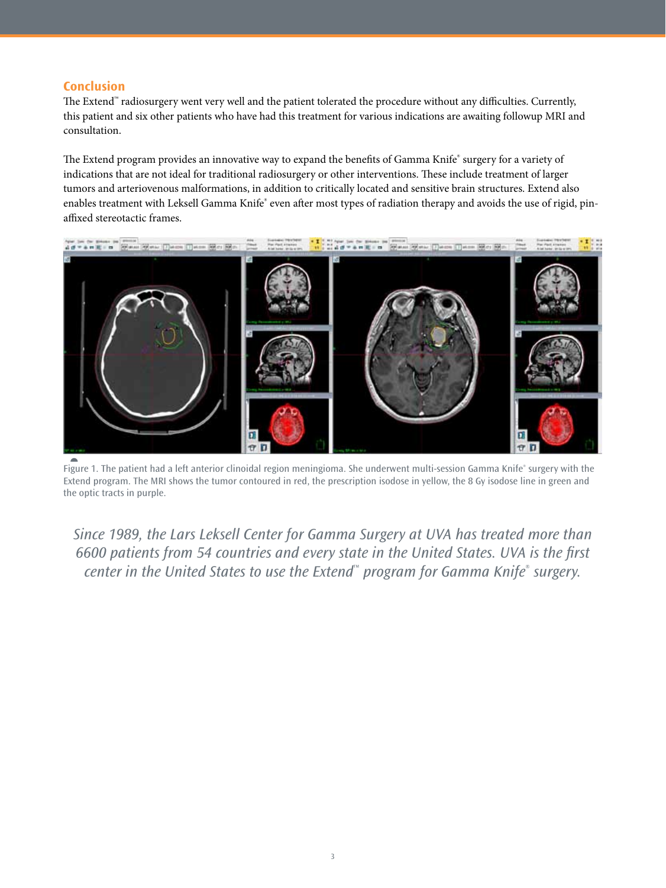#### **Conclusion**

The Extend™ radiosurgery went very well and the patient tolerated the procedure without any difficulties. Currently, this patient and six other patients who have had this treatment for various indications are awaiting followup MRI and consultation.

The Extend program provides an innovative way to expand the benefits of Gamma Knife® surgery for a variety of indications that are not ideal for traditional radiosurgery or other interventions. These include treatment of larger tumors and arteriovenous malformations, in addition to critically located and sensitive brain structures. Extend also enables treatment with Leksell Gamma Knife® even after most types of radiation therapy and avoids the use of rigid, pinaffixed stereotactic frames.



►<br>Figure 1. The patient had a left anterior clinoidal region meningioma. She underwent multi-session Gamma Knife® surgery with the Extend program. The MRI shows the tumor contoured in red, the prescription isodose in yellow, the 8 Gy isodose line in green and the optic tracts in purple.

*Since 1989, the Lars Leksell Center for Gamma Surgery at UVA has treated more than 6600 patients from 54 countries and every state in the United States. UVA is the first center in the United States to use the Extend*™ *program for Gamma Knife*®  *surgery.*